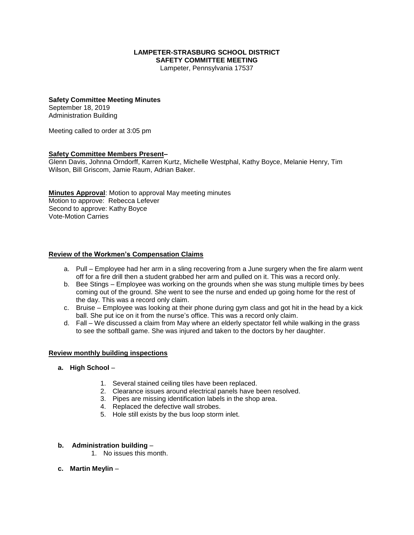#### **LAMPETER-STRASBURG SCHOOL DISTRICT SAFETY COMMITTEE MEETING**

Lampeter, Pennsylvania 17537

# **Safety Committee Meeting Minutes**

September 18, 2019 Administration Building

Meeting called to order at 3:05 pm

## **Safety Committee Members Present–**

Glenn Davis, Johnna Orndorff, Karren Kurtz, Michelle Westphal, Kathy Boyce, Melanie Henry, Tim Wilson, Bill Griscom, Jamie Raum, Adrian Baker.

**Minutes Approval**: Motion to approval May meeting minutes Motion to approve: Rebecca Lefever Second to approve: Kathy Boyce Vote-Motion Carries

#### **Review of the Workmen's Compensation Claims**

- a. Pull Employee had her arm in a sling recovering from a June surgery when the fire alarm went off for a fire drill then a student grabbed her arm and pulled on it. This was a record only.
- b. Bee Stings Employee was working on the grounds when she was stung multiple times by bees coming out of the ground. She went to see the nurse and ended up going home for the rest of the day. This was a record only claim.
- c. Bruise Employee was looking at their phone during gym class and got hit in the head by a kick ball. She put ice on it from the nurse's office. This was a record only claim.
- d. Fall We discussed a claim from May where an elderly spectator fell while walking in the grass to see the softball game. She was injured and taken to the doctors by her daughter.

#### **Review monthly building inspections**

- **a. High School**
	- 1. Several stained ceiling tiles have been replaced.
	- 2. Clearance issues around electrical panels have been resolved.
	- 3. Pipes are missing identification labels in the shop area.
	- 4. Replaced the defective wall strobes.
	- 5. Hole still exists by the bus loop storm inlet.

#### **b. Administration building** –

- 1. No issues this month.
- **c. Martin Meylin** –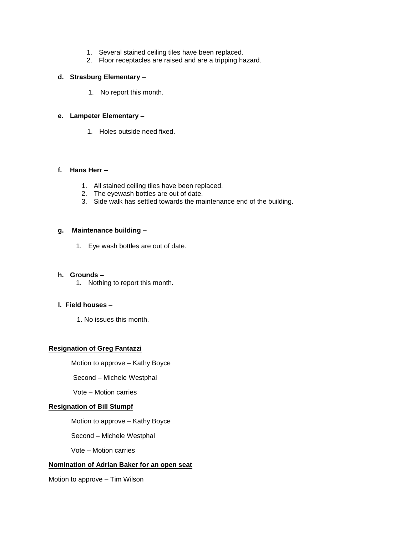- 1. Several stained ceiling tiles have been replaced.
- 2. Floor receptacles are raised and are a tripping hazard.

#### **d. Strasburg Elementary** –

1. No report this month.

## **e. Lampeter Elementary –**

1. Holes outside need fixed.

## **f. Hans Herr –**

- 1. All stained ceiling tiles have been replaced.
- 2. The eyewash bottles are out of date.
- 3. Side walk has settled towards the maintenance end of the building.

#### **g. Maintenance building –**

1. Eye wash bottles are out of date.

#### **h. Grounds –**

1. Nothing to report this month.

## **l. Field houses** –

1. No issues this month.

## **Resignation of Greg Fantazzi**

Motion to approve – Kathy Boyce

Second – Michele Westphal

Vote – Motion carries

## **Resignation of Bill Stumpf**

Motion to approve – Kathy Boyce

Second – Michele Westphal

Vote – Motion carries

# **Nomination of Adrian Baker for an open seat**

Motion to approve – Tim Wilson